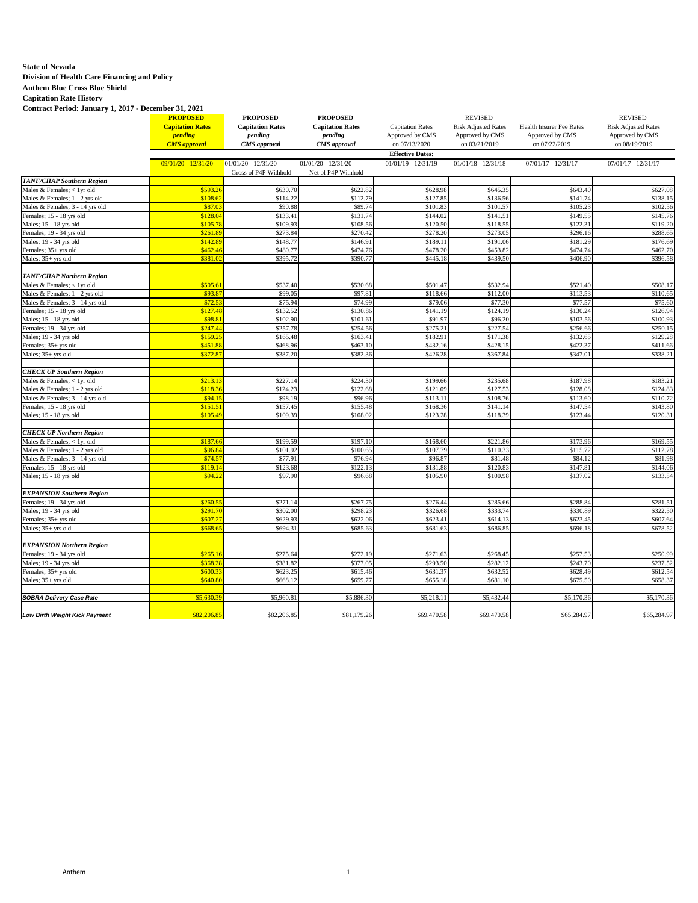## **State of Nevada**

 **Division of Health Care Financing and Policy** 

 **Anthem Blue Cross Blue Shield** 

 **Capitation Rate History** 

 **Contract Period: January 1, 2017 - December 31, 2021 PROPOSED PROPOSED PROPOSED** REVISED REVISED **Capitation Rates Capitation Rates Capitation Rates Capitation Rates Capitation Rates Capitation Rates Capitation Rates Pending Pending Pending Approved by CMS Approved by CMS Approved by CMS Approved by CMS Approved by CM** *pending pending pending <b>pending Pending CMS pending CMS pending CMS approved by CMS CMS pending CMS pending CMS pending CMS pending CMS pending CMS approval CMS approval CMS approval* on 07/13/2020 on 03/21/2019 on 07/22/2019 on 08/19/2019 **Effective Dates:**  09/01/20 - 12/31/20 01/01/20 - 12/31/20 01/01/20 - 12/31/20 01/01/19 - 12/31/19 01/01/18 - 12/31/18 07/01/17 - 12/31/17 07/01/17 - 12/31/17<br>Gross of P4P Withhold Net of P4P Withhold Gross of P4P Withhold  $TANF/CHAP$  Southern Regio Males & Females; < 1yr old \$593.26 \$630.70 \$622.82 \$628.98 \$645.35 \$643.40 \$627.08<br>Males & Females; 1 - 2 yrs old \$108.62 \$114.22 \$112.79 \$127.85 \$136.56 \$141.74 \$138.15 Males & Females; 1 - 2 yrs old **5 and 5 and 5 and 5 and 5 and 5 and 5 and 5 and 5 and 5 and 5 and 5 and 5 and 5 and 5 and 5 and 5 and 5 and 5 and 5 and 5 and 5 and 5 and 5 and 5 and 5 and 5 and 5 and 5 and 5 and 5 and 5 an** Males & Females; 3 - 14 yrs old Females; 15 - 18 yrs old **\$128.04** \$128.04 \$131.74 \$131.74 \$144.02 \$141.51 \$149.55 \$145.76 Males; 15 - 18 yrs old \$105.78 \$109.93 \$108.56 \$108.56 \$120.50 \$118.55 \$122.31 \$119.20 Females; 19 - 34 yrs old \$261.89 \$273.84 \$270.42 \$273.05 \$296.16 \$288.65 Males; 19 - 34 yrs old **\$142.89** \$148.77 \$146.91 \$189.11 \$191.06 \$181.29 \$181.29 \$176.69 Females; 35+ yrs old \$462.46 \$480.77 \$474.76 \$478.20 \$453.82 \$474.74 \$462.70 Males; 35+ yrs old <mark>\$381.02</mark> \$395.72 \$390.77 \$445.18 \$439.50 \$406.90 \$396.58 *TANF/CHAP Northern Region*  Males & Females; < 1yr old \$500.17 \$500.50 \$500.50 \$537.40 \$537.40 \$530.68 \$501.47 \$532.94 \$521.40 \$521.40 \$50<br>Males & Females: 1, 2 yrs old \$93.87 \$93.87 \$99.05 \$97.81 \$118.66 \$112.00 \$118.53 \$110.65 Males & Females; 1 - 2 yrs old **\$93.87** \$99.87 \$99.05 \$99.05 \$97.81 \$118.66 \$112.00 \$113.53 \$113.53 \$110.65 Males & Females; 3 - 14 yrs old **\$72.53** \$77.53 \$77.59 \$77.59 \$77.50 \$77.50 \$77.50 \$77.50 \$77.57 \$75.60 Females; 15 - 18 yrs old **19.1 - Step 1.12 and Step 1.1** Step 5.130.24 \$130.24 \$130.24 \$130.24 \$130.24 \$130.24 Males; 15 - 18 yrs old \$100.93 \$98.81 \$99.81 \$102.90 \$101.61 \$91.97 \$96.20 \$96.20 \$103.56 \$100.93 Females; 19 - 34 yrs old **\$256.66** \$257.18 \$275.21 \$275.21 \$275.21 \$275.21 \$275.34 \$256.66 \$256.66 \$250.15 Males; 19 - 34 yrs old \$159.25 \$159.25 \$165.48 \$163.41 \$182.91 \$171.38 \$171.38 \$132.65 \$139.28 Females; 35+ yrs old \$451.88 \$468.96 \$463.10 \$432.16 \$428.15 \$422.37 \$411.66 Males; 35+ yrs old \$372.87 \$387.20 \$382.36 \$246.28 \$367.84 \$347.01 \$338.21 *CHECK UP Southern Region*  Males & Females; < 1yr old **\$213.21 \$213.13** \$227.14 \$2224.30 \$183.21 \$235.68 \$235.68 \$187.98 \$183.21 Males & Females; 1 - 2 yrs old **\$118.36** \$128.08 \$122.08 \$122.08 \$121.09 \$127.53 \$128.08 \$128.08 \$128.08 Males & Females; 3 - 14 yrs old **198. 12 12 12 13.50** \$98.19 \$98.19 \$98.19 \$98.96 \$113.11 \$108.76 \$113.60 \$113.60 \$110.72<br>
Females; 15 - 18 yrs old \$147.54 \$157.45 \$157.45 \$155.48 \$168.36 \$141.14 \$147.54 \$147.54 \$143.80 Females; 15 - 18 yrs old **19.12.52 \$151.51** \$157.45 \$155.48 \$168.36 \$141.14 \$147.54 \$147.54 \$143.80 Males; 15 - 18 yrs old **\$105.49 \$105.49 \$108.39** \$109.39 \$108.02 \$123.28 \$118.39 \$123.44 \$120.31 *CHECK UP Northern Region*  Males & Females; < 1yr old \$187.66 \$199.59 \$199.59 \$197.10 \$168.60 \$221.86 \$173.96 \$173.96 \$169.55 Males & Females; 1 - 2 yrs old **\$96.84** \$100.92 \$100.65 \$100.65 \$107.79 \$110.33 \$115.72 \$111.33 \$111.33 \$112.78 Males & Females; 3 - 14 yrs old **574.57** \$77.91 \$76.94 \$96.87 \$81.48 \$94.12 \$81.98<br>
Females; 15 - 18 yrs old \$119.14 \$123.68 \$122.13 \$131.88 \$120.83 \$17.81 \$147.81 \$144.06 Females; 15 - 18 yrs old **\$119.14** \$119.14 \$123.68 \$122.13 \$131.88 \$120.83 \$147.81 \$144.06 Males; 15 - 18 yrs old \$133.54 \$94.22 \$97.90 \$96.68 \$96.68 \$100.98 \$100.98 \$137.02 \$137.02 \$133.54 *EXPANSION Southern Region*  Females; 19 - 34 yrs old **\$288.84** \$281.51 \$276.44 \$285.66 \$278.44 \$288.84 \$288.84 \$288.84 \$281.51 Males; 19 - 34 yrs old \$291.70 \$302.00 \$298.23 \$326.68 \$333.74 \$330.89 \$322.50 Females; 35+ yrs old **\$607.64** \$607.27 \$607.27 \$629.93 \$629.93 \$622.06 \$623.41 \$614.13 \$623.45 \$623.45 \$607.64 Males; 35+ yrs old <mark>\$668.65</mark> \$694.31 \$685.63 | \$686.85 \$696.18 | \$678.52 *EXPANSION Northern Region*  Females; 19 - 34 yrs old **\$257.53** \$250.99 \$275.64 \$272.19 \$271.63 \$271.63 \$268.45 \$257.53 \$257.53 \$257.53 \$250.99 Males; 19 - 34 yrs old \$368.28 \$381.82 \$377.05 \$293.50 \$282.12 \$243.70 \$237.52 Females; 35+ yrs old **\$600.33 \$623.25** \$623.25 \$615.46 \$631.37 \$632.52 \$632.52 \$628.49 \$632.54 Males; 35+ yrs old \$640.80 \$668.12 \$655.77 \$655.18 \$681.10 \$675.50 \$658.37 **SOBRA Delivery Case Rate Society Case Rate Step 10 55,630.39** \$5,960.81 \$5,886.30 \$5,218.11 \$5,432.44 \$5,170.36 \$5,170.36 **Low Birth Weight Kick Payment 18 65,284.97 \$82,206.85** \$82,206.85 \$81,179.26 \$69,470.58 \$69,470.58 \$65,284.97 \$65,284.97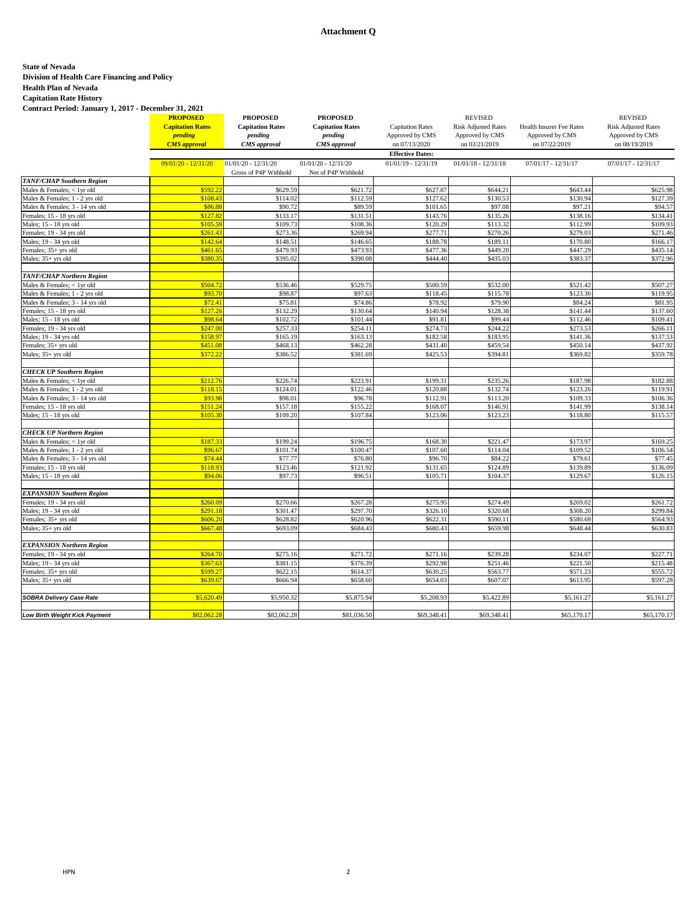## **Attachment Q**

# **State of Nevada**

#### **Division of Health Care Financing and Policy**

 **Health Plan of Nevada** 

 **Capitation Rate History Contract Period: January 1, 2017 - December 31, 2021** 

**PROPOSED PROPOSED PROPOSED** REVISED REVISED **Capitation Rates Capitation Rates Capitation Rates Capitation Rates Capitation Rates Capitation Rates Capitation Rates Pending Pending Pending Approved by CMS Approved by CMS Approved by CMS Approved by CMS Approved by CM** *pending pending pending pending pending Approved by CMS Approved by CMS Approved by CMS Approved by CMS CMS approved by CMS cMS approved by CMS cMS approved by CMS cMS approved by CMS cMS appro CMS approval CMS approval CMS approval* on 07/13/2020 on 03/21/2019 on 07/22/2019 on 08/19/2019 **Effective Dates:**  09/01/20 - 12/31/20 01/01/20 - 12/31/20 01/01/20 - 12/31/20 01/01/19 - 12/31/19 01/01/18 - 12/31/18 07/01/17 - 12/31/17 07/01/17 - 12/31/17<br>Gross of P4P Withhold Net of P4P Withhold Gross of P4P Withhold  $TANF/CHAP$  Southern Regio Males & Females; < 1yr old **5592.22** \$629.59 \$621.72 \$627.87 \$644.21 \$643.44 \$625.98 \$623.59 \$621.72 \$644.21 \$644.21 \$643.44 \$625.98<br>Males & Females; 1 - 2 yrs old \$108.43 \$114.02 \$114.02 \$112.59 \$127.62 \$130.53 \$130.94 \$1 Males & Females; 1 - 2 yrs old **1980 \$108.43** \$114.02 \$112.59 \$112.59 \$127.62 \$130.53 \$130.94 \$127.39<br>Males & Females; 3 - 14 yrs old **\$20.52 \$12.59** \$90.72 \$89.59 \$101.65 \$97.08 \$97.08 \$97.21 \$94.57 Males & Females; 3 - 14 yrs old Females; 15 - 18 yrs old \$138.16 \$132.41 \$127.82 \$133.17 \$133.17 \$131.51 \$143.76 \$135.26 \$135.26 \$138.16 \$138.16 Males; 15 - 18 yrs old \$109.93 \$109.93 \$108.36 \$108.36 \$108.36 \$120.29 \$113.32 \$112.99 \$112.99 \$1109.93 Females; 19 - 34 yrs old \$261.43 \$273.36 \$269.94 \$277.71 \$270.26 \$279.03 \$271.46 Males; 19 - 34 yrs old \$166.17 \$142.64 \$148.51 \$148.51 \$146.65 \$188.78 \$189.11 \$170.80 \$170.80 \$166.17 Females; 35+ yrs old \$461.65 \$479.93 \$473.93 \$477.36 \$449.20 \$447.29 \$435.14 Males; 35+ yrs old \$380.35 \$395.02 \$390.08 \$444.40 \$435.03 \$383.37 \$372.96 *TANF/CHAP Northern Region*  Males & Females; < 1yr old \$507.27 \$536.46 \$529.75 \$552.00 \$523.00 \$521.42 \$507.27 Males & Females; 1 - 2 yrs old **\$93.70** \$98.87 \$98.87 \$97.63 \$97.63 \$118.45 \$115.78 \$115.78 \$123.30 \$129.95 Males & Females; 3 - 14 yrs old **\$72.41** \$72.41 \$75.81 \$77.86 \$78.92 \$79.90 \$84.24 \$81.95 Females; 15 - 18 yrs old **\$127.26** \$127.26 \$132.29 \$130.64 \$140.94 \$128.38 \$141.44 \$141.44 \$137.60 Males; 15 - 18 yrs old \$102.44 \$98.64 \$99.44 \$101.44 \$91.81 \$99.44 \$112.46 \$112.46 \$109.41 Females; 19 - 34 yrs old \$257.33 \$254.11 \$274.73 \$254.11 \$274.73 \$2544.22 \$273.53 \$256.11 Males; 19 - 34 yrs old **\$158.97** \$165.19 \$163.13 \$163.13 \$182.58 \$183.95 \$183.95 \$141.36 \$137.53 Females; 35+ yrs old \$451.08 \$468.13 \$462.28 \$431.40 \$459.54 \$450.14 \$437.92 Males; 35+ yrs old \$372.22 \$386.52 \$381.69 \$425.53 \$394.81 \$369.82 \$359.78 *CHECK UP Southern Region*  Males & Females; < 1yr old **\$200.00 \$212.76** \$222.76 \$223.91 \$235.26 \$235.26 \$187.98 \$182.88 Males & Females; 1 - 2 yrs old **\$118.15** \$118.15 \$124.01 \$122.46 \$122.46 \$132.74 \$132.74 \$123.26 \$132.74 Males & Females; 3 - 14 yrs old **198.98 \$93.98** \$98.01 \$96.78 \$112.91 \$113.20 \$109.33 \$109.33 \$106.36<br>199.18.18 Females; 15 - 18 yrs old \$15.1.24 \$157.18 \$155.22 \$168.07 \$146.91 \$141.99 \$111.99 Females; 15 - 18 yrs old **19. In the State of State State State State State State State State State State State State State State State State State State State State State State State State State State State State State St** Males; 15 - 18 yrs old \$118.80 \$115.57 \$105.30 \$109.20 \$109.20 \$107.84 \$123.06 \$123.23 \$118.80 \$118.80 \$115.57 *CHECK UP Northern Region*  Males & Females; < 1yr old \$187.33 \$199.24 \$199.24 \$196.75 \$168.30 \$221.47 \$173.97 \$169.25<br>Males & Females: 1 - 2 yrs old \$96.67 \$101.74 \$101.74 \$100.47 \$107.60 \$114.04 \$109.52 \$109.52 \$106.54 Males & Females; 1 - 2 yrs old **\$96.67** \$100.74 \$100.47 \$100.47 \$107.60 \$114.04 \$109.52 \$109.52 \$106.54 Males & Females; 3 - 14 yrs old **198. 12 and 12 14 14 14 14 14 14 14 15 16.80** 577.77 16 16.80 596.70 584.22 \$79.61 577.45<br>
Females: 15 - 18 yrs old 5118.93 5123.46 5121.92 \$131.65 5124.89 5139.89 5139.89 5136.09 Females; 15 - 18 yrs old **19.12.46 \$118.93** \$123.46 \$121.92 \$131.65 \$124.89 \$139.89 \$139.89 \$139.89 \$139.89 Males; 15 - 18 yrs old \$129.67 \$126.15 \$94.06 \$97.73 \$96.51 \$96.51 \$105.71 \$104.37 \$129.67 \$129.67 *EXPANSION Southern Region*  Females; 19 - 34 yrs old **\$260.09** \$260.09 \$270.66 \$267.28 \$275.95 \$2775.95 \$274.49 \$269.02 \$269.02 \$261.72 Males; 19 - 34 yrs old \$291.18 \$301.47 \$297.70 \$326.10 \$308.20 \$308.20 \$299.84 Females; 35+ yrs old \$606.20 \$628.82 \$620.96 \$622.31 \$590.11 \$580.69 \$564.93 Males; 35+ yrs old <mark>\$667.48</mark> \$693.09 \$684.43 | \$680.43 | \$659.98 | \$648.44 | \$630.83 | *EXPANSION Northern Region*  Females; 19 - 34 yrs old **\$200 \$264.70** \$264.70 \$271.72 \$271.16 \$271.16 \$239.28 \$234.07 \$3234.07 \$2334.07 Males; 19 - 34 yrs old \$367.63 \$381.15 \$376.39 \$292.98 \$221.46 \$221.50 \$215.48 Females; 35+ yrs old **\$500.25 \$622.15** \$622.15 \$622.15 \$614.37 \$630.25 \$563.72 \$563.77 \$571.23 \$571.23 \$555.72 Males; 35+ yrs old <mark>\$639.67</mark> \$666.94 \$658.60 \$654.03 \$607.07 \$613.95 \$597.28 **SOBRA Delivery Case Rate Society Case Rate Step 10 <b>\$5,950.32** \$5,875.94 \$5,208.93 \$5,208.93 \$5,161.27 \$5,161.27 \$5,161.27 **Low Birth Weight Kick Payment 582,062.28** \$82,062.28 \$82,062.28 \$81,036.50 \$69,348.41 \$69,348.41 \$69,348.41 \$65,170.17